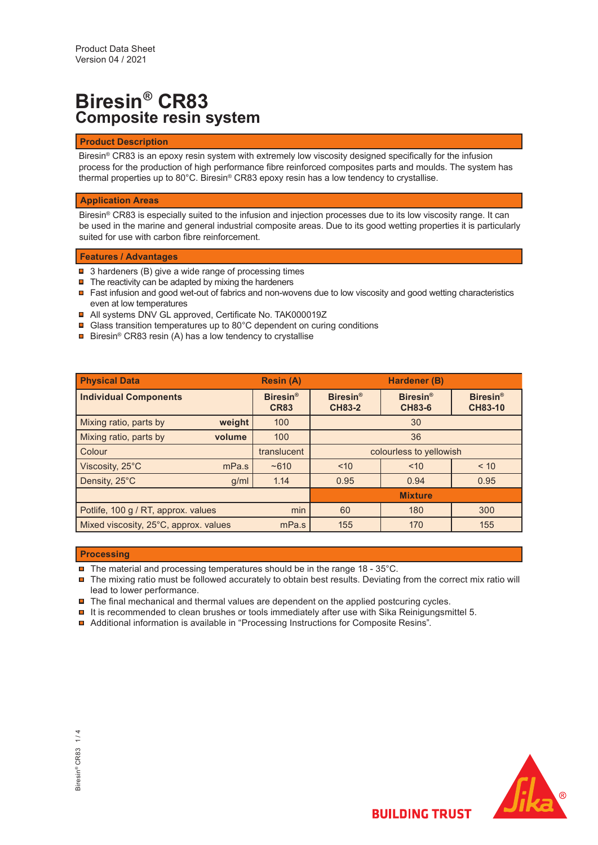## **Biresin® CR83 Composite resin system**

### **Product Description**

Biresin® CR83 is an epoxy resin system with extremely low viscosity designed specifically for the infusion process for the production of high performance fibre reinforced composites parts and moulds. The system has thermal properties up to 80°C. Biresin® CR83 epoxy resin has a low tendency to crystallise.

#### **Application Areas**

Biresin® CR83 is especially suited to the infusion and injection processes due to its low viscosity range. It can be used in the marine and general industrial composite areas. Due to its good wetting properties it is particularly suited for use with carbon fibre reinforcement.

#### **Features / Advantages**

- 3 hardeners (B) give a wide range of processing times
- The reactivity can be adapted by mixing the hardeners
- Fast infusion and good wet-out of fabrics and non-wovens due to low viscosity and good wetting characteristics even at low temperatures
- All systems DNV GL approved, Certificate No. TAK000019Z
- **□** Glass transition temperatures up to 80°C dependent on curing conditions
- Biresin® CR83 resin (A) has a low tendency to crystallise

| <b>Physical Data</b>                           | <b>Resin (A)</b>               |                                  | Hardener (B)                     |                                   |
|------------------------------------------------|--------------------------------|----------------------------------|----------------------------------|-----------------------------------|
| <b>Individual Components</b>                   | <b>Biresin®</b><br><b>CR83</b> | <b>Biresin®</b><br><b>CH83-2</b> | <b>Biresin®</b><br><b>CH83-6</b> | <b>Biresin®</b><br><b>CH83-10</b> |
| Mixing ratio, parts by<br>weight               | 100                            | 30                               |                                  |                                   |
| Mixing ratio, parts by<br>volume               | 100                            | 36                               |                                  |                                   |
| Colour                                         | translucent                    | colourless to yellowish          |                                  |                                   |
| Viscosity, 25°C<br>mPa.s                       | ~1610                          | ~10                              | ~10                              | < 10                              |
| Density, 25°C<br>g/ml                          | 1.14                           | 0.95                             | 0.94                             | 0.95                              |
|                                                |                                | <b>Mixture</b>                   |                                  |                                   |
| min<br>Potlife, 100 g / RT, approx. values     |                                | 60                               | 180                              | 300                               |
| Mixed viscosity, 25°C, approx. values<br>mPa.s |                                | 155                              | 170                              | 155                               |

#### **Processing**

- $\blacksquare$  The material and processing temperatures should be in the range 18 35°C.
- $\blacksquare$  The mixing ratio must be followed accurately to obtain best results. Deviating from the correct mix ratio will lead to lower performance.
- $\blacksquare$  The final mechanical and thermal values are dependent on the applied postcuring cycles.
- $\blacksquare$  It is recommended to clean brushes or tools immediately after use with Sika Reinigungsmittel 5.
- Additional information is available in "Processing Instructions for Composite Resins".

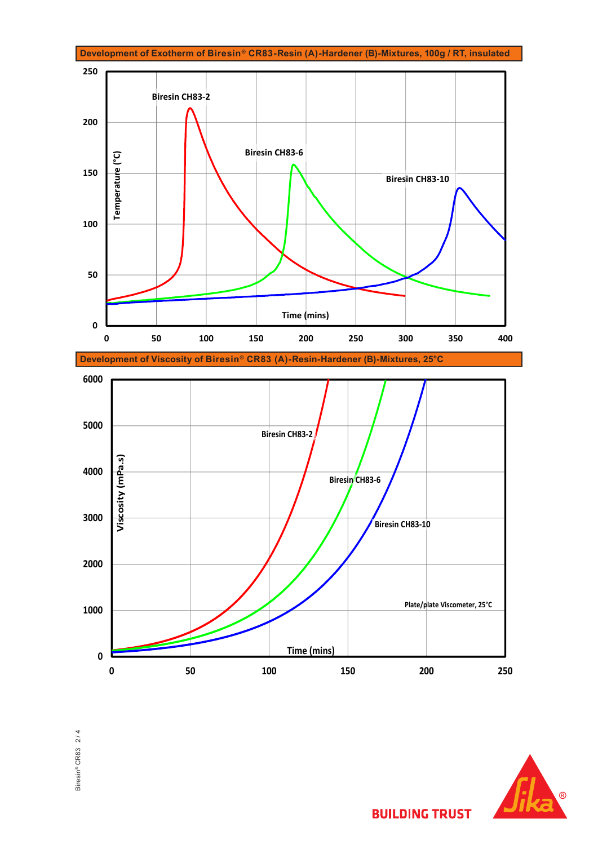









**BUILDING TRUST**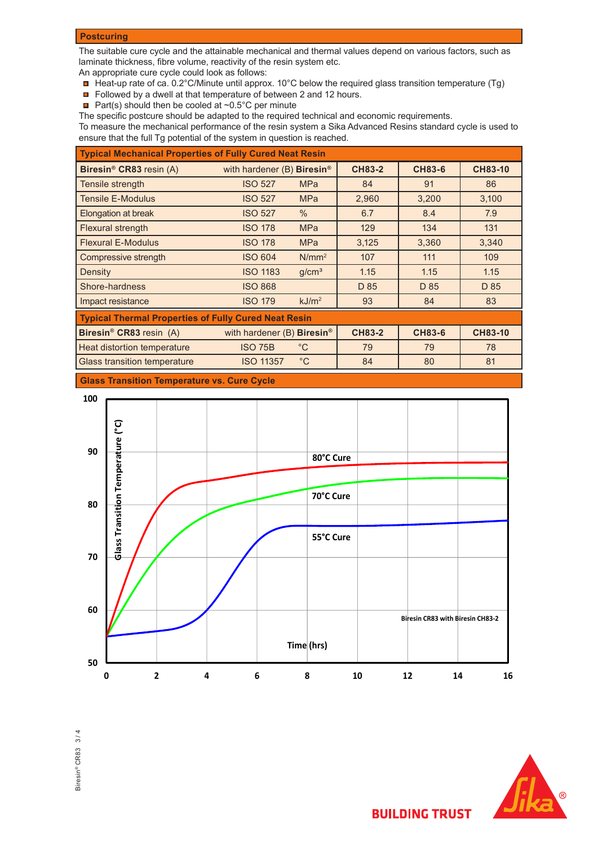### **Postcuring**

The suitable cure cycle and the attainable mechanical and thermal values depend on various factors, such as laminate thickness, fibre volume, reactivity of the resin system etc.

An appropriate cure cycle could look as follows:

- Heat-up rate of ca. 0.2°C/Minute until approx. 10°C below the required glass transition temperature (Tg)
- Followed by a dwell at that temperature of between 2 and 12 hours.
- **Part(s) should then be cooled at ~0.5°C per minute**

The specific postcure should be adapted to the required technical and economic requirements.

To measure the mechanical performance of the resin system a Sika Advanced Resins standard cycle is used to ensure that the full Tg potential of the system in question is reached.

| <b>Typical Mechanical Properties of Fully Cured Neat Resin</b> |                                          |                   |               |               |                |  |
|----------------------------------------------------------------|------------------------------------------|-------------------|---------------|---------------|----------------|--|
| Biresin <sup>®</sup> CR83 resin (A)                            | with hardener $(B)$ Biresin <sup>®</sup> |                   | <b>CH83-2</b> | <b>CH83-6</b> | <b>CH83-10</b> |  |
| Tensile strength                                               | <b>ISO 527</b>                           | <b>MPa</b>        | 84            | 91            | 86             |  |
| <b>Tensile E-Modulus</b>                                       | <b>ISO 527</b>                           | <b>MPa</b>        | 2,960         | 3,200         | 3,100          |  |
| Elongation at break                                            | <b>ISO 527</b>                           | $\%$              | 6.7           | 8.4           | 7.9            |  |
| Flexural strength                                              | <b>ISO 178</b>                           | <b>MPa</b>        | 129           | 134           | 131            |  |
| <b>Flexural E-Modulus</b>                                      | <b>ISO 178</b>                           | <b>MPa</b>        | 3,125         | 3,360         | 3,340          |  |
| Compressive strength                                           | <b>ISO 604</b>                           | $N/mm^2$          | 107           | 111           | 109            |  |
| Density                                                        | <b>ISO 1183</b>                          | g/cm <sup>3</sup> | 1.15          | 1.15          | 1.15           |  |
| Shore-hardness                                                 | <b>ISO 868</b>                           |                   | D 85          | D 85          | D 85           |  |
| Impact resistance                                              | <b>ISO 179</b>                           | kJ/m <sup>2</sup> | 93            | 84            | 83             |  |
| <b>Typical Thermal Properties of Fully Cured Neat Resin</b>    |                                          |                   |               |               |                |  |
| Biresin <sup>®</sup> CR83 resin (A)                            | with hardener (B) Biresin <sup>®</sup>   |                   | <b>CH83-2</b> | <b>CH83-6</b> | <b>CH83-10</b> |  |
| Heat distortion temperature                                    | <b>ISO 75B</b>                           | $^{\circ}$ C      | 79            | 79            | 78             |  |
| <b>Glass transition temperature</b>                            | <b>ISO 11357</b>                         | $^{\circ}$ C      | 84            | 80            | 81             |  |

**Glass Transition Temperature vs. Cure Cycle**







**BUILDING TRUST**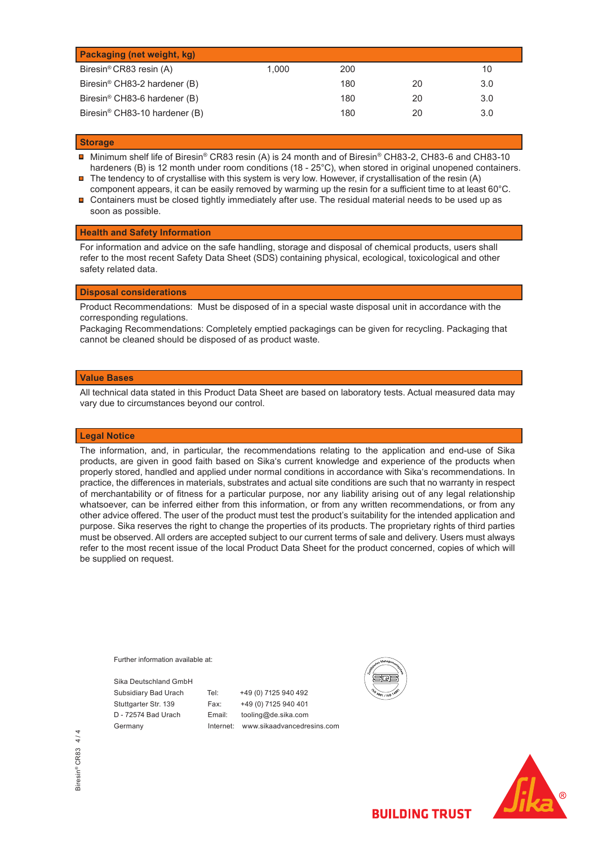| <b>Packaging (net weight, kg)</b>         |       |     |    |     |
|-------------------------------------------|-------|-----|----|-----|
| Biresin <sup>®</sup> CR83 resin (A)       | 1.000 | 200 |    | 10  |
| Biresin <sup>®</sup> CH83-2 hardener (B)  |       | 180 | 20 | 3.0 |
| Biresin <sup>®</sup> CH83-6 hardener (B)  |       | 180 | 20 | 3.0 |
| Biresin <sup>®</sup> CH83-10 hardener (B) |       | 180 | 20 | 3.0 |

#### **Storage**

- $\blacksquare$ Minimum shelf life of Biresin® CR83 resin (A) is 24 month and of Biresin® CH83-2, CH83-6 and CH83-10 hardeners (B) is 12 month under room conditions (18 - 25°C), when stored in original unopened containers.
- $\blacksquare$ The tendency to of crystallise with this system is very low. However, if crystallisation of the resin (A) component appears, it can be easily removed by warming up the resin for a sufficient time to at least 60°C.
- $\blacksquare$  Containers must be closed tightly immediately after use. The residual material needs to be used up as soon as possible.

#### **Health and Safety Information**

For information and advice on the safe handling, storage and disposal of chemical products, users shall refer to the most recent Safety Data Sheet (SDS) containing physical, ecological, toxicological and other safety related data.

#### **Disposal considerations**

Product Recommendations: Must be disposed of in a special waste disposal unit in accordance with the corresponding regulations.

Packaging Recommendations: Completely emptied packagings can be given for recycling. Packaging that cannot be cleaned should be disposed of as product waste.

#### **Value Bases**

All technical data stated in this Product Data Sheet are based on laboratory tests. Actual measured data may vary due to circumstances beyond our control.

#### **Legal Notice**

The information, and, in particular, the recommendations relating to the application and end-use of Sika products, are given in good faith based on Sika's current knowledge and experience of the products when properly stored, handled and applied under normal conditions in accordance with Sika's recommendations. In practice, the differences in materials, substrates and actual site conditions are such that no warranty in respect of merchantability or of fitness for a particular purpose, nor any liability arising out of any legal relationship whatsoever, can be inferred either from this information, or from any written recommendations, or from any other advice offered. The user of the product must test the product's suitability for the intended application and purpose. Sika reserves the right to change the properties of its products. The proprietary rights of third parties must be observed. All orders are accepted subject to our current terms of sale and delivery. Users must always refer to the most recent issue of the local Product Data Sheet for the product concerned, copies of which will be supplied on request.

Further information available at:

Sika Deutschland GmbH

Subsidiary Bad Urach Tel: +49 (0) 7125 940 492 Stuttgarter Str. 139 Fax: +49 (0) 7125 940 401 D - 72574 Bad Urach Email: tooling@de.sika.com Germany **Internet:** www.sikaadvancedresins.com





**BUILDING TRUST**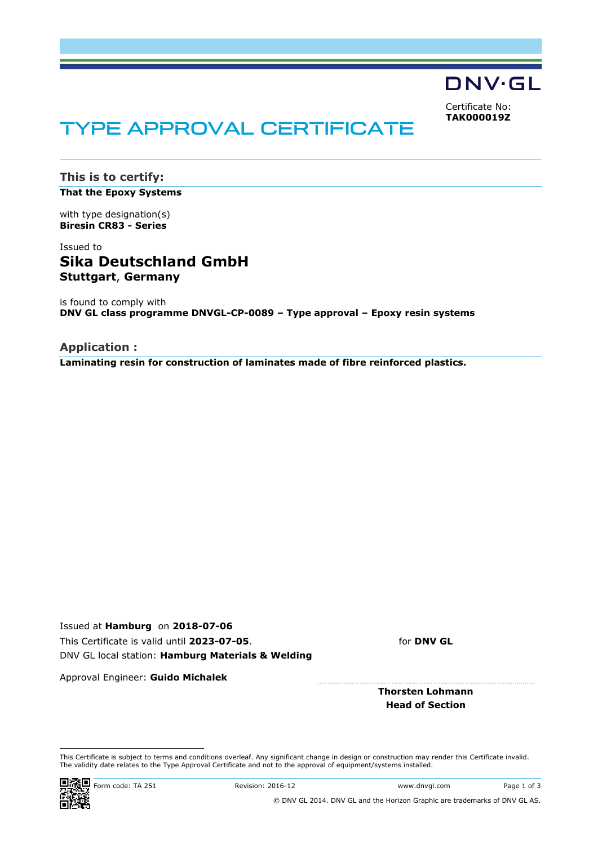

<span id="page-4-0"></span>Certificate No: **TAK000019Z**

# TYPE APPROVAL CERTIFICATE

**This is to certify: That the Epoxy Systems**

with type designation(s) **Biresin CR83 - Series**

### Issued to **Sika Deutschland GmbH Stuttgart**, **Germany**

is found to comply with **DNV GL class programme DNVGL-CP-0089 – Type approval – Epoxy resin systems**

**Application : Laminating resin for construction of laminates made of fibre reinforced plastics.**

Issued at **Hamburg** on **2018-07-06** This Certificate is valid until **2023-07-05**. DNV GL local station: **Hamburg Materials & Welding**

for **DNV GL**

Approval Engineer: **Guido Michalek**

**Thorsten Lohmann Head of Section**

This Certificate is subject to terms and conditions overleaf. Any significant change in design or construction may render this Certificate invalid. The validity date relates to the Type Approval Certificate and not to the approval of equipment/systems installed.



© DNV GL 2014. DNV GL and the Horizon Graphic are trademarks of DNV GL AS.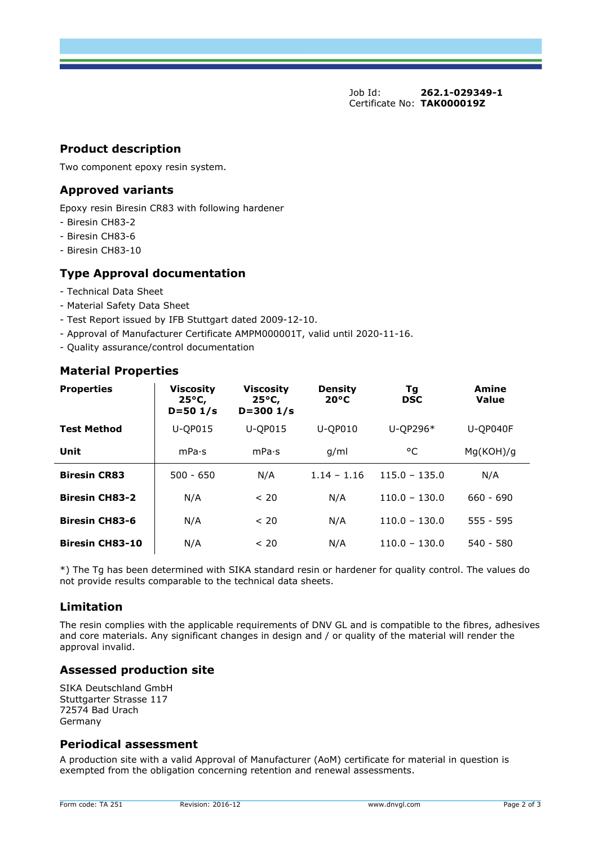Job Id: **262.1-029349-1**  Certificate No: **[TAK000019Z](#page-4-0)**

### **Product description**

Two component epoxy resin system.

### **Approved variants**

Epoxy resin Biresin CR83 with following hardener

- Biresin CH83-2
- Biresin CH83-6
- Biresin CH83-10

### **Type Approval documentation**

- Technical Data Sheet
- Material Safety Data Sheet
- Test Report issued by IFB Stuttgart dated 2009-12-10.
- Approval of Manufacturer Certificate AMPM000001T, valid until 2020-11-16.
- Quality assurance/control documentation

### **Material Properties**

| <b>Properties</b>      | <b>Viscosity</b><br>$25^{\circ}$ C,<br>$D = 501/s$ | <b>Viscosity</b><br>$25^{\circ}$ C,<br>$D = 3001/s$ | <b>Density</b><br>$20^{\circ}$ C | Τg<br><b>DSC</b> | Amine<br><b>Value</b> |
|------------------------|----------------------------------------------------|-----------------------------------------------------|----------------------------------|------------------|-----------------------|
| <b>Test Method</b>     | U-QP015                                            | U-QP015                                             | <b>U-QP010</b>                   | U-QP296*         | U-QP040F              |
| Unit                   | mPa·s                                              | mPa·s                                               | q/ml                             | °C               | Mg(KOH)/g             |
| <b>Biresin CR83</b>    | $500 - 650$                                        | N/A                                                 | $1.14 - 1.16$                    | $115.0 - 135.0$  | N/A                   |
| <b>Biresin CH83-2</b>  | N/A                                                | < 20                                                | N/A                              | $110.0 - 130.0$  | $660 - 690$           |
| <b>Biresin CH83-6</b>  | N/A                                                | < 20                                                | N/A                              | $110.0 - 130.0$  | $555 - 595$           |
| <b>Biresin CH83-10</b> | N/A                                                | < 20                                                | N/A                              | $110.0 - 130.0$  | $540 - 580$           |

\*) The Tg has been determined with SIKA standard resin or hardener for quality control. The values do not provide results comparable to the technical data sheets.

### **Limitation**

The resin complies with the applicable requirements of DNV GL and is compatible to the fibres, adhesives and core materials. Any significant changes in design and / or quality of the material will render the approval invalid.

### **Assessed production site**

SIKA Deutschland GmbH Stuttgarter Strasse 117 72574 Bad Urach Germany

### **Periodical assessment**

A production site with a valid Approval of Manufacturer (AoM) certificate for material in question is exempted from the obligation concerning retention and renewal assessments.